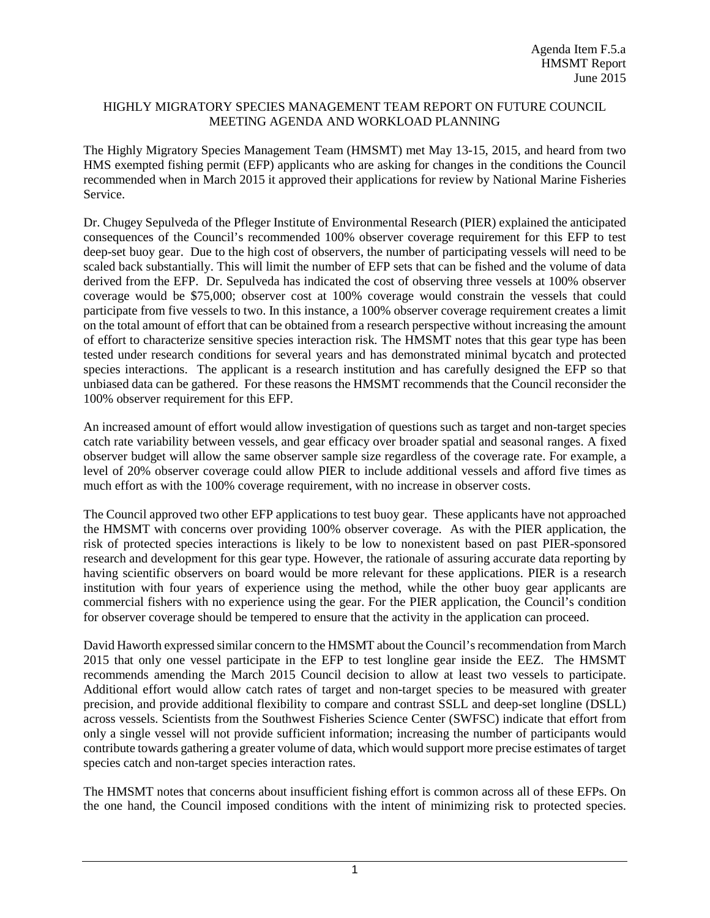## HIGHLY MIGRATORY SPECIES MANAGEMENT TEAM REPORT ON FUTURE COUNCIL MEETING AGENDA AND WORKLOAD PLANNING

The Highly Migratory Species Management Team (HMSMT) met May 13-15, 2015, and heard from two HMS exempted fishing permit (EFP) applicants who are asking for changes in the conditions the Council recommended when in March 2015 it approved their applications for review by National Marine Fisheries Service.

Dr. Chugey Sepulveda of the Pfleger Institute of Environmental Research (PIER) explained the anticipated consequences of the Council's recommended 100% observer coverage requirement for this EFP to test deep-set buoy gear. Due to the high cost of observers, the number of participating vessels will need to be scaled back substantially. This will limit the number of EFP sets that can be fished and the volume of data derived from the EFP. Dr. Sepulveda has indicated the cost of observing three vessels at 100% observer coverage would be \$75,000; observer cost at 100% coverage would constrain the vessels that could participate from five vessels to two. In this instance, a 100% observer coverage requirement creates a limit on the total amount of effort that can be obtained from a research perspective without increasing the amount of effort to characterize sensitive species interaction risk. The HMSMT notes that this gear type has been tested under research conditions for several years and has demonstrated minimal bycatch and protected species interactions. The applicant is a research institution and has carefully designed the EFP so that unbiased data can be gathered. For these reasons the HMSMT recommends that the Council reconsider the 100% observer requirement for this EFP.

An increased amount of effort would allow investigation of questions such as target and non-target species catch rate variability between vessels, and gear efficacy over broader spatial and seasonal ranges. A fixed observer budget will allow the same observer sample size regardless of the coverage rate. For example, a level of 20% observer coverage could allow PIER to include additional vessels and afford five times as much effort as with the 100% coverage requirement, with no increase in observer costs.

The Council approved two other EFP applications to test buoy gear. These applicants have not approached the HMSMT with concerns over providing 100% observer coverage. As with the PIER application, the risk of protected species interactions is likely to be low to nonexistent based on past PIER-sponsored research and development for this gear type. However, the rationale of assuring accurate data reporting by having scientific observers on board would be more relevant for these applications. PIER is a research institution with four years of experience using the method, while the other buoy gear applicants are commercial fishers with no experience using the gear. For the PIER application, the Council's condition for observer coverage should be tempered to ensure that the activity in the application can proceed.

David Haworth expressed similar concern to the HMSMT about the Council's recommendation from March 2015 that only one vessel participate in the EFP to test longline gear inside the EEZ. The HMSMT recommends amending the March 2015 Council decision to allow at least two vessels to participate. Additional effort would allow catch rates of target and non-target species to be measured with greater precision, and provide additional flexibility to compare and contrast SSLL and deep-set longline (DSLL) across vessels. Scientists from the Southwest Fisheries Science Center (SWFSC) indicate that effort from only a single vessel will not provide sufficient information; increasing the number of participants would contribute towards gathering a greater volume of data, which would support more precise estimates of target species catch and non-target species interaction rates.

The HMSMT notes that concerns about insufficient fishing effort is common across all of these EFPs. On the one hand, the Council imposed conditions with the intent of minimizing risk to protected species.